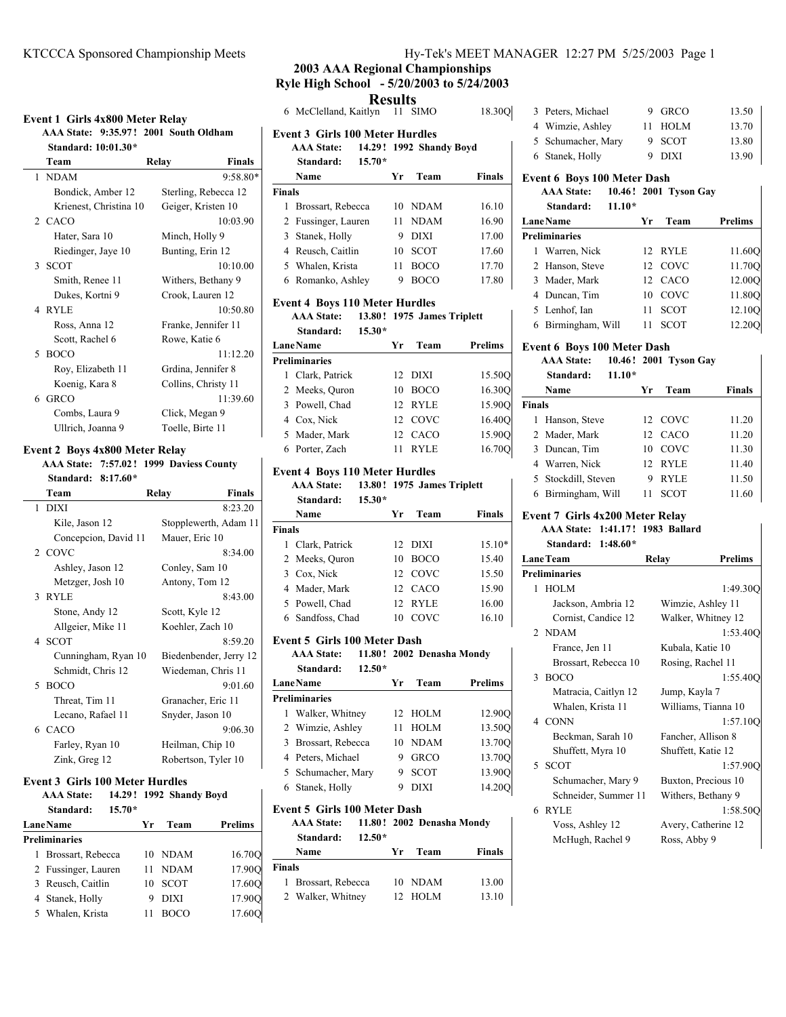### **Event 1 Girls 4x800 Meter Relay**

**AAA State: 9:35.97 2001 ! South Oldham Standard: 10:01.30\***

| Standard: 10:01.30*    |                        |  |  |  |
|------------------------|------------------------|--|--|--|
| Team                   | <b>Finals</b><br>Relay |  |  |  |
| 1 NDAM                 | $9:58.80*$             |  |  |  |
| Bondick, Amber 12      | Sterling, Rebecca 12   |  |  |  |
| Krienest, Christina 10 | Geiger, Kristen 10     |  |  |  |
| 2 CACO                 | 10:03.90               |  |  |  |
| Hater, Sara 10         | Minch, Holly 9         |  |  |  |
| Riedinger, Jaye 10     | Bunting, Erin 12       |  |  |  |
| 3 SCOT                 | 10:10.00               |  |  |  |
| Smith, Renee 11        | Withers, Bethany 9     |  |  |  |
| Dukes, Kortni 9        | Crook, Lauren 12       |  |  |  |
| 4 RYLE                 | 10:50.80               |  |  |  |
| Ross, Anna 12          | Franke, Jennifer 11    |  |  |  |
| Scott, Rachel 6        | Rowe, Katie 6          |  |  |  |
| 5 BOCO                 | 11:12.20               |  |  |  |
| Roy, Elizabeth 11      | Grdina, Jennifer 8     |  |  |  |
| Koenig, Kara 8         | Collins, Christy 11    |  |  |  |
| 6 GRCO                 | 11:39.60               |  |  |  |
| Combs, Laura 9         | Click, Megan 9         |  |  |  |
| Ullrich, Joanna 9      | Toelle, Birte 11       |  |  |  |
|                        |                        |  |  |  |

#### **Event 2 Boys 4x800 Meter Relay**

**AAA State: 7:57.02 1999 ! Daviess County**

| Standard: 8:17.60* |  |
|--------------------|--|
|                    |  |

| Team                 | Relav            | <b>Finals</b>          |
|----------------------|------------------|------------------------|
| 1 DIXI               |                  | 8:23.20                |
| Kile, Jason 12       |                  | Stopplewerth, Adam 11  |
| Concepcion, David 11 | Mauer, Eric 10   |                        |
| 2 COVC               |                  | 8:34.00                |
| Ashley, Jason 12     | Conley, Sam 10   |                        |
| Metzger, Josh 10     | Antony, Tom 12   |                        |
| 3 RYLE               |                  | 8:43.00                |
| Stone, Andy 12       | Scott, Kyle 12   |                        |
| Allgeier, Mike 11    | Koehler, Zach 10 |                        |
| 4 SCOT               |                  | 8:59.20                |
| Cunningham, Ryan 10  |                  | Biedenbender, Jerry 12 |
| Schmidt, Chris 12    |                  | Wiedeman, Chris 11     |
| 5 BOCO               |                  | 9:01.60                |
| Threat, Tim 11       |                  | Granacher, Eric 11     |
| Lecano, Rafael 11    | Snyder, Jason 10 |                        |
| 6 CACO               |                  | 9:06.30                |
| Farley, Ryan 10      | Heilman, Chip 10 |                        |
| Zink, Greg 12        |                  | Robertson, Tyler 10    |

#### **Event 3 Girls 100 Meter Hurdles**

**AAA State:** 14.29! 1992 Shandy Boyd **Standard: 15.70\***

| <b>Lane Name</b>     |                     | Vr | Team        | <b>Prelims</b> |
|----------------------|---------------------|----|-------------|----------------|
| <b>Preliminaries</b> |                     |    |             |                |
|                      | 1 Brossart, Rebecca |    | 10 NDAM     | 16.70Q         |
|                      | 2 Fussinger, Lauren | 11 | <b>NDAM</b> | 17.90O         |
|                      | 3 Reusch, Caitlin   | 10 | <b>SCOT</b> | 17.60Q         |
|                      | 4 Stanek, Holly     |    | <b>DIXI</b> | 17.90O         |
| 5                    | Whalen, Krista      |    | <b>BOCO</b> | 17.60O         |

# **2003 AAA Regional Championships Ryle High School - 5/20/2003 to 5/24/2003**

**Results** 6 18.30Q McClelland, Kaitlyn 11 SIMO

| <b>Event 3 Girls 100 Meter Hurdles</b> |    |                            |               |
|----------------------------------------|----|----------------------------|---------------|
| <b>AAA State:</b>                      |    | 14.29! 1992 Shandy Boyd    |               |
| $15.70*$<br>Standard:                  |    |                            |               |
| Name                                   | Yr | Team                       | Finals        |
| <b>Finals</b>                          |    |                            |               |
| 1<br>Brossart, Rebecca                 | 10 | <b>NDAM</b>                | 16.10         |
| 2 Fussinger, Lauren                    | 11 | <b>NDAM</b>                | 16.90         |
| 3<br>Stanek, Holly                     | 9  | <b>DIXI</b>                | 17.00         |
| 4 Reusch, Caitlin                      | 10 | <b>SCOT</b>                | 17.60         |
| 5 Whalen, Krista                       | 11 | <b>BOCO</b>                | 17.70         |
| Romanko, Ashley<br>6                   | 9  | <b>BOCO</b>                | 17.80         |
| <b>Event 4 Boys 110 Meter Hurdles</b>  |    |                            |               |
| <b>AAA State:</b>                      |    | 13.80! 1975 James Triplett |               |
| 15.30*<br>Standard:                    |    |                            |               |
| <b>LaneName</b>                        | Yr | Team                       | Prelims       |
| <b>Preliminaries</b>                   |    |                            |               |
| 1 Clark, Patrick                       | 12 | <b>DIXI</b>                | 15.50Q        |
| 2 Meeks, Quron                         | 10 | <b>BOCO</b>                | 16.30Q        |
| 3 Powell, Chad                         | 12 | <b>RYLE</b>                | 15.90Q        |
| 4 Cox, Nick                            | 12 | COVC                       | 16.40Q        |
| 5 Mader, Mark                          | 12 | CACO                       | 15.90Q        |
| 6 Porter, Zach                         | 11 | <b>RYLE</b>                | 16.70Q        |
| <b>Event 4 Boys 110 Meter Hurdles</b>  |    |                            |               |
| <b>AAA State:</b>                      |    | 13.80! 1975 James Triplett |               |
| $15.30*$<br>Standard:                  |    |                            |               |
| Name                                   | Yr | Team                       | Finals        |
| <b>Finals</b>                          |    |                            |               |
| 1 Clark, Patrick                       | 12 | DIXI                       | 15.10*        |
| 2 Meeks, Quron                         | 10 | <b>BOCO</b>                | 15.40         |
| 3 Cox, Nick                            | 12 | COVC                       | 15.50         |
| 4 Mader, Mark                          | 12 | CACO                       | 15.90         |
| 5 Powell, Chad                         | 12 | RYLE                       | 16.00         |
| 6 Sandfoss, Chad                       | 10 | COVC                       | 16.10         |
| Event 5 Girls 100 Meter Dash           |    |                            |               |
| <b>AAA</b> State:                      |    | 11.80! 2002 Denasha Mondy  |               |
| Standard:<br>$12.50*$                  |    |                            |               |
| <b>LaneName</b>                        | Yr | Team                       | Prelims       |
| Preliminaries                          |    |                            |               |
| Walker, Whitney<br>1                   | 12 | <b>HOLM</b>                | 12.90Q        |
| Wimzie, Ashley<br>2                    | 11 | HOLM                       | 13.50Q        |
| 3<br>Brossart, Rebecca                 | 10 | <b>NDAM</b>                | 13.70Q        |
| 4 Peters, Michael                      | 9  | <b>GRCO</b>                | 13.70Q        |
| 5<br>Schumacher, Mary                  | 9  | SCOT                       | 13.900        |
| 6<br>Stanek, Holly                     | 9  | DIXI                       | 14.200        |
| <b>Event 5 Girls 100 Meter Dash</b>    |    |                            |               |
| <b>AAA</b> State:<br>11.80!            |    | 2002 Denasha Mondy         |               |
| Standard:<br>12.50*                    |    |                            |               |
| Name                                   | Yr | Team                       | <b>Finals</b> |
| <b>Finals</b>                          |    |                            |               |
| 1<br>Brossart, Rebecca                 | 10 | NDAM                       | 13.00         |
| 2<br>Walker, Whitney                   |    | HOLM                       | 13.10         |

|  | K S MEE I MANAUER $12.27$ PM $3/23/2003$ Page 1 |  |  |
|--|-------------------------------------------------|--|--|
|  |                                                 |  |  |

| 3 Peters, Michael  | 9 GRCO   | 13.50 |
|--------------------|----------|-------|
| 4 Wimzie, Ashley   | 11 HOLM  | 13.70 |
| 5 Schumacher, Mary | 9 SCOT   | 13.80 |
| 6 Stanek, Holly    | $9$ DIXI | 13.90 |

#### **Event 6 Boys 100 Meter Dash**

## **AAA State: 10.46 2001 ! Tyson Gay**

|                 | Standard:            | $11.10*$ |     |             |                |
|-----------------|----------------------|----------|-----|-------------|----------------|
| <b>LaneName</b> |                      |          | Уr  | Team        | <b>Prelims</b> |
|                 | <b>Preliminaries</b> |          |     |             |                |
|                 | 1 Warren, Nick       |          |     | 12 RYLE     | 11.60O         |
|                 | 2 Hanson, Steve      |          |     | 12 COVC     | 11.70O         |
|                 | 3 Mader, Mark        |          |     | 12 CACO     | 12.00O         |
|                 | 4 Duncan, Tim        |          | 10. | COVC        | 11.80O         |
|                 | 5 Lenhof, Ian        |          | 11  | <b>SCOT</b> | 12.10O         |
|                 | 6 Birmingham, Will   |          |     | SCOT        | 12.20O         |

## **Event 6 Boys 100 Meter Dash**

|               | <b>AAA</b> State:<br>$11.10*$<br>Standard: |    | 10.46! 2001 Tyson Gay |        |
|---------------|--------------------------------------------|----|-----------------------|--------|
|               | Name                                       | Уr | Team                  | Finals |
| <b>Finals</b> |                                            |    |                       |        |
| 1             | Hanson, Steve                              |    | 12 COVC               | 11.20  |
|               | 2 Mader, Mark                              |    | 12 CACO               | 11.20  |
|               | 3 Duncan, Tim                              |    | 10 COVC               | 11.30  |
|               | 4 Warren, Nick                             |    | 12. RYLE              | 11.40  |
|               | 5 Stockdill, Steven                        | 9  | <b>RYLE</b>           | 11.50  |
|               | 6 Birmingham, Will                         | 11 | SCOT                  | 11.60  |

# **Event 7 Girls 4x200 Meter Relay**

**AAA State: 1:41.17 1983 ! Ballard Standard: 1:48.60\***

| Standard: 1:48.60*   |                     |                |
|----------------------|---------------------|----------------|
| <b>LaneTeam</b>      | Relay               | <b>Prelims</b> |
| <b>Preliminaries</b> |                     |                |
| 1 HOLM               |                     | 1:49.300       |
| Jackson, Ambria 12   | Wimzie, Ashley 11   |                |
| Cornist, Candice 12  | Walker, Whitney 12  |                |
| 2 NDAM               |                     | 1:53.40O       |
| France, Jen 11       | Kubala, Katie 10    |                |
| Brossart, Rebecca 10 | Rosing, Rachel 11   |                |
| 3 BOCO               |                     | 1:55.400       |
| Matracia, Caitlyn 12 | Jump, Kayla 7       |                |
| Whalen, Krista 11    | Williams, Tianna 10 |                |
| 4 CONN               |                     | 1:57.100       |
| Beckman, Sarah 10    | Fancher, Allison 8  |                |
| Shuffett, Myra 10    | Shuffett, Katie 12  |                |
| 5 SCOT               |                     | 1:57.900       |
| Schumacher, Mary 9   | Buxton, Precious 10 |                |
| Schneider, Summer 11 | Withers, Bethany 9  |                |
| 6 RYLE               |                     | 1:58.500       |
| Voss, Ashley 12      | Avery, Catherine 12 |                |
| McHugh, Rachel 9     | Ross, Abby 9        |                |
|                      |                     |                |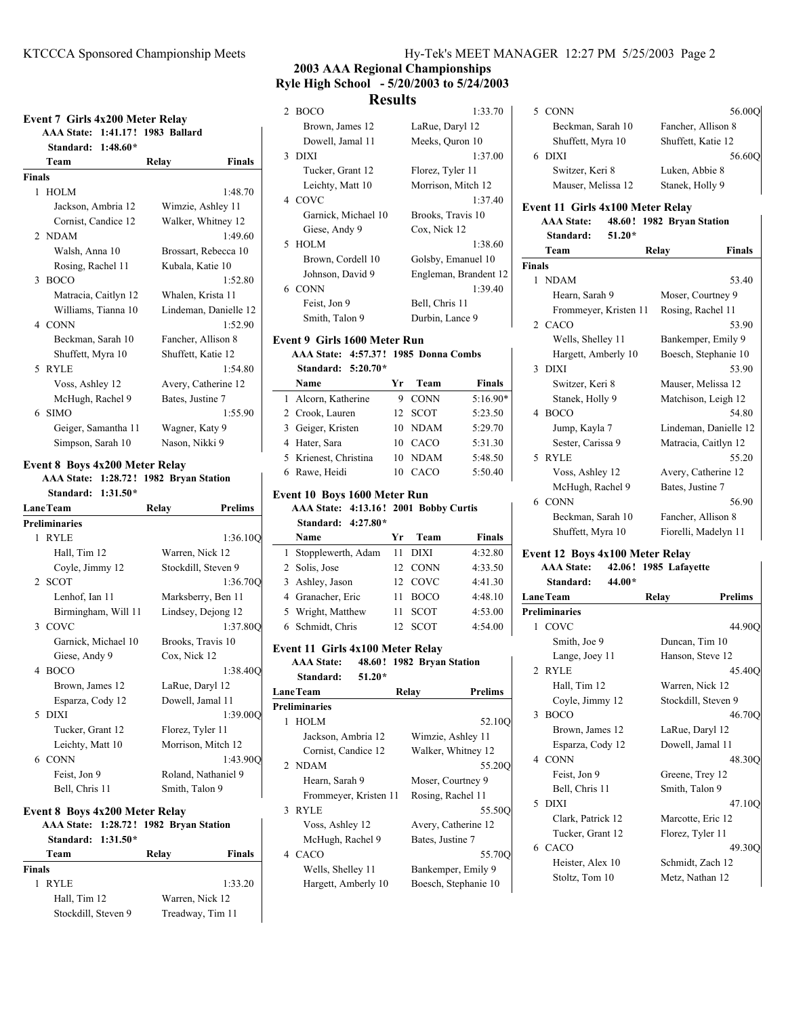| Team<br>1 HOLM<br>2 NDAM<br>3 BOCO<br>4 CONN | Standard: 1:48.60*<br>Jackson, Ambria 12<br>Cornist, Candice 12<br>Walsh, Anna 10<br>Rosing, Rachel 11<br>Matracia, Caitlyn 12 | <b>Finals</b><br>Relay<br>1:48.70<br>Wimzie, Ashley 11<br>Walker, Whitney 12<br>1:49.60<br>Brossart, Rebecca 10<br>Kubala, Katie 10<br>1:52.80<br>Whalen, Krista 11 |
|----------------------------------------------|--------------------------------------------------------------------------------------------------------------------------------|---------------------------------------------------------------------------------------------------------------------------------------------------------------------|
| <b>Finals</b>                                |                                                                                                                                |                                                                                                                                                                     |
|                                              |                                                                                                                                |                                                                                                                                                                     |
|                                              |                                                                                                                                |                                                                                                                                                                     |
|                                              |                                                                                                                                |                                                                                                                                                                     |
|                                              |                                                                                                                                |                                                                                                                                                                     |
|                                              |                                                                                                                                |                                                                                                                                                                     |
|                                              |                                                                                                                                |                                                                                                                                                                     |
|                                              |                                                                                                                                |                                                                                                                                                                     |
|                                              |                                                                                                                                |                                                                                                                                                                     |
|                                              |                                                                                                                                |                                                                                                                                                                     |
|                                              | Williams, Tianna 10                                                                                                            | Lindeman, Danielle 12                                                                                                                                               |
|                                              |                                                                                                                                | 1:52.90                                                                                                                                                             |
|                                              | Beckman, Sarah 10                                                                                                              | Fancher, Allison 8                                                                                                                                                  |
|                                              | Shuffett, Myra 10                                                                                                              | Shuffett, Katie 12                                                                                                                                                  |
| 5 RYLE                                       |                                                                                                                                | 1:54.80                                                                                                                                                             |
|                                              | Voss, Ashley 12                                                                                                                | Avery, Catherine 12                                                                                                                                                 |
|                                              | McHugh, Rachel 9                                                                                                               | Bates, Justine 7                                                                                                                                                    |
| <b>SIMO</b><br>6                             |                                                                                                                                | 1:55.90                                                                                                                                                             |
|                                              | Geiger, Samantha 11                                                                                                            | Wagner, Katy 9                                                                                                                                                      |
|                                              | Simpson, Sarah 10                                                                                                              | Nason, Nikki 9                                                                                                                                                      |

**Standard: 1:31.50\***

|              | <b>LaneTeam</b>                                                                 | Relay             | <b>Prelims</b>      |
|--------------|---------------------------------------------------------------------------------|-------------------|---------------------|
|              | <b>Preliminaries</b>                                                            |                   |                     |
| $\mathbf{1}$ | <b>RYLE</b>                                                                     |                   | 1:36.10Q            |
|              | Hall, Tim 12                                                                    | Warren, Nick 12   |                     |
|              | Coyle, Jimmy 12                                                                 |                   | Stockdill, Steven 9 |
|              | 2 SCOT                                                                          |                   | 1:36.70O            |
|              | Lenhof, Ian 11                                                                  |                   | Marksberry, Ben 11  |
|              | Birmingham, Will 11                                                             |                   | Lindsey, Dejong 12  |
|              | 3 COVC                                                                          |                   | 1:37.80Q            |
|              | Garnick, Michael 10                                                             | Brooks, Travis 10 |                     |
|              | Giese, Andy 9                                                                   | Cox, Nick 12      |                     |
|              | 4 BOCO                                                                          |                   | 1:38.40Q            |
|              | Brown, James 12                                                                 | LaRue, Daryl 12   |                     |
|              | Esparza, Cody 12                                                                | Dowell, Jamal 11  |                     |
|              | 5 DIXI                                                                          |                   | 1:39.00O            |
|              | Tucker, Grant 12                                                                | Florez, Tyler 11  |                     |
|              | Leichty, Matt 10                                                                |                   | Morrison, Mitch 12  |
|              | 6 CONN                                                                          |                   | 1:43.900            |
|              | Feist, Jon 9                                                                    |                   | Roland, Nathaniel 9 |
|              | Bell, Chris 11                                                                  | Smith, Talon 9    |                     |
|              |                                                                                 |                   |                     |
|              | <b>Event 8 Boys 4x200 Meter Relay</b><br>AAA State: 1:28.72! 1982 Bryan Station |                   |                     |

## **Standard: 1:31.50\* Team Relay Finals Finals** 1 RYLE 1:33.20 Hall, Tim 12 Warren, Nick 12 Stockdill, Steven 9 Treadway, Tim 11

# **2003 AAA Regional Championships Ryle High School - 5/20/2003 to 5/24/2003 Results**

| $2$ BOCO                                                                                                                                                                                                                                                                                                           | 1:33.70               |    |
|--------------------------------------------------------------------------------------------------------------------------------------------------------------------------------------------------------------------------------------------------------------------------------------------------------------------|-----------------------|----|
| Brown, James 12                                                                                                                                                                                                                                                                                                    | LaRue, Daryl 12       |    |
| Dowell, Jamal 11                                                                                                                                                                                                                                                                                                   | Meeks, Quron 10       |    |
| 3 DIXI                                                                                                                                                                                                                                                                                                             | 1:37.00               |    |
| Tucker, Grant 12                                                                                                                                                                                                                                                                                                   | Florez, Tyler 11      |    |
| Leichty, Matt 10                                                                                                                                                                                                                                                                                                   | Morrison, Mitch 12    |    |
| 4 COVC                                                                                                                                                                                                                                                                                                             | 1:37.40               |    |
| Garnick, Michael 10                                                                                                                                                                                                                                                                                                | Brooks, Travis 10     | E۱ |
| Giese, Andy 9                                                                                                                                                                                                                                                                                                      | Cox, Nick 12          |    |
| 5 HOLM                                                                                                                                                                                                                                                                                                             | 1:38.60               |    |
| Brown, Cordell 10                                                                                                                                                                                                                                                                                                  | Golsby, Emanuel 10    | Fi |
| Johnson, David 9                                                                                                                                                                                                                                                                                                   | Engleman, Brandent 12 |    |
| 6 CONN                                                                                                                                                                                                                                                                                                             | 1:39.40               |    |
| Feist, Jon 9                                                                                                                                                                                                                                                                                                       | Bell, Chris 11        |    |
| Smith, Talon 9                                                                                                                                                                                                                                                                                                     | Durbin, Lance 9       |    |
| $\sqrt{2}$ $\sqrt{2}$ $\sqrt{2}$ $\sqrt{2}$ $\sqrt{2}$ $\sqrt{2}$ $\sqrt{2}$ $\sqrt{2}$ $\sqrt{2}$ $\sqrt{2}$ $\sqrt{2}$ $\sqrt{2}$ $\sqrt{2}$ $\sqrt{2}$ $\sqrt{2}$ $\sqrt{2}$ $\sqrt{2}$ $\sqrt{2}$ $\sqrt{2}$ $\sqrt{2}$ $\sqrt{2}$ $\sqrt{2}$ $\sqrt{2}$ $\sqrt{2}$ $\sqrt{2}$ $\sqrt{2}$ $\sqrt{2}$ $\sqrt{2$ |                       |    |

#### **Event 9 Girls 1600 Meter Run AAA State: 4:57.37! 1985 Donna Combs**

| Standard: $5:20.70*$ |  |  |
|----------------------|--|--|

| Name                  | Уr  | Team        | <b>Finals</b> |
|-----------------------|-----|-------------|---------------|
| 1 Alcorn, Katherine   | 9   | CONN        | $5:16.90*$    |
| 2 Crook, Lauren       |     | 12 SCOT     | 5:23.50       |
| 3 Geiger, Kristen     |     | 10 NDAM     | 5:29.70       |
| 4 Hater, Sara         |     | 10 CACO     | 5:31.30       |
| 5 Krienest, Christina | 10. | <b>NDAM</b> | 5:48.50       |
| 6 Rawe, Heidi         | 10  | CACO        | 5:50.40       |

## **Event 10 Boys 1600 Meter Run**

**AAA State: 4:13.16 2001 ! Bobby Curtis Standard: 4:27.80\***

| Name                 | Yг  | Team        | <b>Finals</b> |
|----------------------|-----|-------------|---------------|
| 1 Stopplewerth, Adam | 11  | <b>DIXI</b> | 4:32.80       |
| 2 Solis, Jose        |     | 12 CONN     | 4:33.50       |
| 3 Ashley, Jason      |     | 12 COVC     | 4:41.30       |
| 4 Granacher, Eric    | 11  | <b>BOCO</b> | 4:48.10       |
| 5 Wright, Matthew    | 11  | SCOT        | 4:53.00       |
| 6 Schmidt, Chris     | 12. | <b>SCOT</b> | 4:54.00       |

# **Event 11 Girls 4x100 Meter Relay**

**AAA State:** 48.60! 1982 Bryan Station **Standard: 51.20\***

|                      | <b>LaneTeam</b>       | Relay             | <b>Prelims</b>       |  |
|----------------------|-----------------------|-------------------|----------------------|--|
| <b>Preliminaries</b> |                       |                   |                      |  |
| 1                    | <b>HOLM</b>           |                   | 52.100               |  |
|                      | Jackson, Ambria 12    | Wimzie, Ashley 11 |                      |  |
|                      | Cornist, Candice 12   |                   | Walker, Whitney 12   |  |
|                      | 2 NDAM                |                   | 55.200               |  |
|                      | Hearn, Sarah 9        | Moser, Courtney 9 |                      |  |
|                      | Frommeyer, Kristen 11 | Rosing, Rachel 11 |                      |  |
|                      | 3 RYLE                |                   | 55.500               |  |
|                      | Voss, Ashley 12       |                   | Avery, Catherine 12  |  |
|                      | McHugh, Rachel 9      | Bates, Justine 7  |                      |  |
|                      | 4 CACO                |                   | 55.700               |  |
|                      | Wells, Shelley 11     |                   | Bankemper, Emily 9   |  |
|                      | Hargett, Amberly 10   |                   | Boesch, Stephanie 10 |  |

| Beckman, Sarah 10                                                          |                       | Fancher, Allison 8                             |        |
|----------------------------------------------------------------------------|-----------------------|------------------------------------------------|--------|
| Shuffett, Myra 10                                                          |                       | Shuffett, Katie 12<br>56.600<br>Luken, Abbie 8 |        |
| 6 DIXI                                                                     |                       |                                                |        |
| Switzer, Keri 8                                                            |                       |                                                |        |
| Mauser, Melissa 12                                                         |                       | Stanek, Holly 9                                |        |
| Event 11 Girls 4x100 Meter Relay<br><b>AAA State:</b><br>Standard:<br>Team | $51.20*$              | 48.60! 1982 Bryan Station<br>Relay             | Finals |
| Finals                                                                     |                       |                                                |        |
| 1 NDAM                                                                     |                       |                                                | 53.40  |
| Hearn, Sarah 9                                                             |                       | Moser, Courtney 9                              |        |
|                                                                            | Frommeyer, Kristen 11 | Rosing, Rachel 11                              |        |
| 2. CACO                                                                    |                       |                                                | 53.90  |

5 CONN 56.00Q

| 2 CACO              | 53.90                 |
|---------------------|-----------------------|
| Wells, Shelley 11   | Bankemper, Emily 9    |
| Hargett, Amberly 10 | Boesch, Stephanie 10  |
| 3 DIXI              | 53.90                 |
| Switzer, Keri 8     | Mauser, Melissa 12    |
| Stanek, Holly 9     | Matchison, Leigh 12   |
| 4 BOCO              | 54.80                 |
| Jump, Kayla 7       | Lindeman, Danielle 12 |
| Sester, Carissa 9   | Matracia, Caitlyn 12  |
| 5 RYLE              | 55.20                 |
| Voss, Ashley 12     | Avery, Catherine 12   |
| McHugh, Rachel 9    | Bates, Justine 7      |
| 6 CONN              | 56.90                 |
| Beckman, Sarah 10   | Fancher, Allison 8    |
| Shuffett, Myra 10   | Fiorelli, Madelyn 11  |

# **Event 12 Boys 4x100 Meter Relay**

**AAA State:** 42.06! 1985 Lafayette

| Standard:<br>44.00*  |                         |
|----------------------|-------------------------|
| <b>LaneTeam</b>      | <b>Prelims</b><br>Relay |
| <b>Preliminaries</b> |                         |
| 1 COVC               | 44.90O                  |
| Smith, Joe 9         | Duncan, Tim 10          |
| Lange, Joey 11       | Hanson, Steve 12        |
| 2 RYLE               | 45.40O                  |
| Hall, Tim 12         | Warren, Nick 12         |
| Coyle, Jimmy 12      | Stockdill, Steven 9     |
| 3 BOCO               | 46.700                  |
| Brown, James 12      | LaRue, Daryl 12         |
| Esparza, Cody 12     | Dowell, Jamal 11        |
| 4 CONN               | 48.30O                  |
| Feist, Jon 9         | Greene, Trey 12         |
| Bell, Chris 11       | Smith, Talon 9          |
| 5 DIXI               | 47.10O                  |
| Clark, Patrick 12    | Marcotte, Eric 12       |
| Tucker, Grant 12     | Florez, Tyler 11        |
| 6 CACO               | 49.30Q                  |
| Heister, Alex 10     | Schmidt, Zach 12        |
| Stoltz, Tom 10       | Metz, Nathan 12         |
|                      |                         |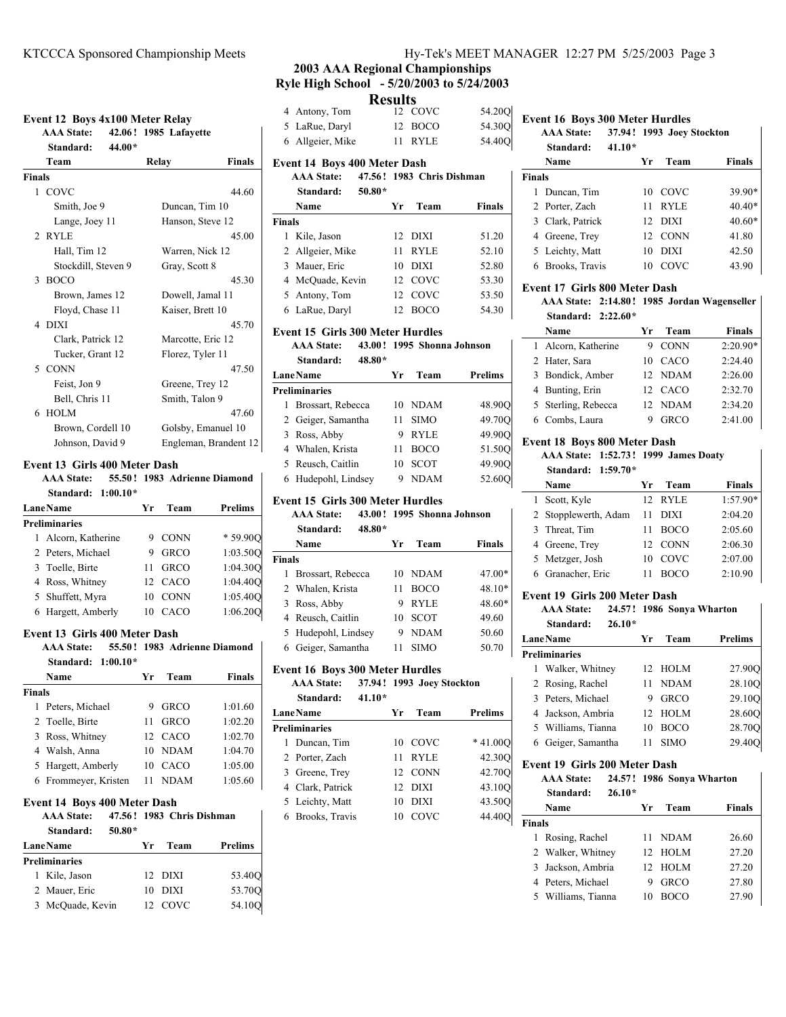## **Event 12 Boys 4x100 Meter Relay**

**AAA State: 42.06 1985 ! Lafayette Standard: 44.00\* Team Relay Finals Finals**

| 1 COVC              | 44.60                 |
|---------------------|-----------------------|
| Smith, Joe 9        | Duncan, Tim 10        |
| Lange, Joey 11      | Hanson, Steve 12      |
| 2 RYLE              | 45.00                 |
| Hall, Tim 12        | Warren, Nick 12       |
| Stockdill, Steven 9 | Gray, Scott 8         |
| 3 BOCO              | 45.30                 |
| Brown, James 12     | Dowell, Jamal 11      |
| Floyd, Chase 11     | Kaiser, Brett 10      |
| 4 DIXI              | 45.70                 |
| Clark, Patrick 12   | Marcotte, Eric 12     |
| Tucker, Grant 12    | Florez, Tyler 11      |
| 5 CONN              | 47.50                 |
| Feist, Jon 9        | Greene, Trey 12       |
| Bell, Chris 11      | Smith, Talon 9        |
| 6 HOLM              | 47.60                 |
| Brown, Cordell 10   | Golsby, Emanuel 10    |
| Johnson, David 9    | Engleman, Brandent 12 |

## **Event 13 Girls 400 Meter Dash**

**AAA State:** 55.50! 1983 Adrienne Diamond **Standard: 1:00.10\***

| <b>Lane Name</b> |                      | Уr | Team        | <b>Prelims</b> |  |
|------------------|----------------------|----|-------------|----------------|--|
|                  | <b>Preliminaries</b> |    |             |                |  |
|                  | 1 Alcorn, Katherine  |    | 9 CONN      | * 59.900       |  |
|                  | 2 Peters, Michael    | 9  | <b>GRCO</b> | 1:03.500       |  |
|                  | 3 Toelle, Birte      | 11 | <b>GRCO</b> | 1:04.300       |  |
|                  | 4 Ross, Whitney      |    | 12 CACO     | 1:04.400       |  |
|                  | 5 Shuffett, Myra     | 10 | <b>CONN</b> | 1:05.400       |  |
|                  | 6 Hargett, Amberly   | 10 | CACO        | 1:06.200       |  |

#### **Event 13 Girls 400 Meter Dash**

**AAA State:** 55.50! 1983 Adrienne Diamond **Standard: 1:00.10\***

|               | Name                 | Уr | Team        | <b>Finals</b> |
|---------------|----------------------|----|-------------|---------------|
| <b>Finals</b> |                      |    |             |               |
|               | 1 Peters, Michael    | 9  | <b>GRCO</b> | 1:01.60       |
|               | 2 Toelle, Birte      | 11 | <b>GRCO</b> | 1:02.20       |
|               | 3 Ross, Whitney      |    | 12 CACO     | 1:02.70       |
|               | 4 Walsh, Anna        |    | 10 NDAM     | 1:04.70       |
|               | 5 Hargett, Amberly   | 10 | CACO        | 1:05.00       |
|               | 6 Frommeyer, Kristen |    | <b>NDAM</b> | 1:05.60       |

#### **Event 14 Boys 400 Meter Dash**

**AAA State:** 47.56! 1983 Chris Dishman **Standard: 50.80\***

| <b>Lane Name</b>     | Yг | Team    | <b>Prelims</b> |
|----------------------|----|---------|----------------|
| <b>Preliminaries</b> |    |         |                |
| 1 Kile, Jason        |    | 12 DIXI | 53.400         |
| 2 Mauer, Eric        |    | 10 DIXI | 53.700         |
| 3 McOuade, Kevin     |    | 12 COVC | 54.10O         |

## KTCCCA Sponsored Championship Meets Hy-Tek's MEET MANAGER 12:27 PM 5/25/2003 Page 3

# **2003 AAA Regional Championships Ryle High School - 5/20/2003 to 5/24/2003**

# **Results**

| <b>AAA State:</b>                   | 47.56! 1983 Chris Dishman |                  | <b>Finals</b>                        |          |     |      |  |
|-------------------------------------|---------------------------|------------------|--------------------------------------|----------|-----|------|--|
| <b>Event 14 Boys 400 Meter Dash</b> |                           |                  | <b>Name</b>                          |          | Yr. | Team |  |
| 6 Allgeier, Mike                    | 11 RYLE                   | 54.40Q           | Standard:                            | $41.10*$ |     |      |  |
| 5 LaRue, Daryl                      | 12 BOCO                   |                  | AAA State: 37.94! 1993 Joey Stockton |          |     |      |  |
| 4 Antony, Tom                       | 12 COVC                   | 54.20Q<br>54.30Q | Event 16 Boys 300 Meter Hurdles      |          |     |      |  |

|               | $50.80*$<br>Standard: |    |             |               |
|---------------|-----------------------|----|-------------|---------------|
|               | Name                  | Уr | Team        | <b>Finals</b> |
| <b>Finals</b> |                       |    |             |               |
|               | Kile, Jason           |    | 12 DIXI     | 51.20         |
|               | 2 Allgeier, Mike      | 11 | <b>RYLE</b> | 52.10         |
|               | 3 Mauer, Eric         | 10 | <b>DIXI</b> | 52.80         |
|               | 4 McOuade, Kevin      |    | 12 COVC     | 53.30         |
|               | 5 Antony, Tom         |    | 12 COVC     | 53.50         |
|               | 6 LaRue, Daryl        | 12 | <b>BOCO</b> | 54.30         |

## **Event 15 Girls 300 Meter Hurdles**

**AAA State:** 43.00! 1995 Shonna Johnson **Standard: 48.80\***

| <b>LaneName</b>      | Уr | Team        | Prelims |
|----------------------|----|-------------|---------|
| <b>Preliminaries</b> |    |             |         |
| Brossart, Rebecca    | 10 | <b>NDAM</b> | 48.90O  |
| 2 Geiger, Samantha   | 11 | <b>SIMO</b> | 49.70O  |
| 3 Ross, Abby         | 9  | <b>RYLE</b> | 49.90O  |
| 4 Whalen, Krista     | 11 | <b>BOCO</b> | 51.500  |
| 5 Reusch, Caitlin    | 10 | <b>SCOT</b> | 49.90O  |
| 6 Hudepohl, Lindsey  | ч  | <b>NDAM</b> | 52.60Q  |
|                      |    |             |         |

## **Event 15 Girls 300 Meter Hurdles**

|               | <b>AAA State:</b><br>Standard: | 48.80* |      | 43.00! 1995 Shonna Johnson |               |
|---------------|--------------------------------|--------|------|----------------------------|---------------|
|               | Name                           |        | Yr - | Team                       | <b>Finals</b> |
| <b>Finals</b> |                                |        |      |                            |               |
|               | 1 Brossart, Rebecca            |        |      | 10 NDAM                    | 47.00         |

| 1 Brossart, Rebecca |    | 10 NDAM     | 47.00* |
|---------------------|----|-------------|--------|
| 2 Whalen, Krista    | 11 | <b>BOCO</b> | 48.10* |
| 3 Ross, Abby        | 9  | RYLE        | 48.60* |
| 4 Reusch, Caitlin   |    | 10 SCOT     | 49.60  |
| 5 Hudepohl, Lindsey |    | 9 NDAM      | 50.60  |
| 6 Geiger, Samantha  | 11 | <b>SIMO</b> | 50.70  |

#### **Event 16 Boys 300 Meter Hurdles**

| <b>AAA State:</b> |          | 37.94! 1993 Joev Stockton |
|-------------------|----------|---------------------------|
| Standard:         | $41.10*$ |                           |

| <b>LaneName</b>      | Уr | Team        | Prelims   |
|----------------------|----|-------------|-----------|
| <b>Preliminaries</b> |    |             |           |
| 1 Duncan, Tim        |    | 10 COVC     | $*41.000$ |
| 2 Porter, Zach       | 11 | <b>RYLE</b> | 42.300    |
| 3 Greene, Trey       |    | 12 CONN     | 42.70O    |
| 4 Clark, Patrick     |    | 12 DIXI     | 43.10O    |
| 5 Leichty, Matt      | 10 | <b>DIXI</b> | 43.500    |
| 6 Brooks, Travis     | 10 | COVC        | 44.40O    |
|                      |    |             |           |

|        | Standard:        | $41.10*$ |     |             |               |
|--------|------------------|----------|-----|-------------|---------------|
|        | Name             |          | Уr  | Team        | <b>Finals</b> |
| Finals |                  |          |     |             |               |
|        | 1 Duncan, Tim    |          |     | 10 COVC     | 39.90*        |
|        | 2 Porter, Zach   |          | 11  | <b>RYLE</b> | $40.40*$      |
|        | 3 Clark, Patrick |          |     | 12 DIXI     | $40.60*$      |
|        | 4 Greene, Trey   |          |     | 12 CONN     | 41.80         |
|        | 5 Leichty, Matt  |          | 10  | <b>DIXI</b> | 42.50         |
|        | 6 Brooks, Travis |          | 10. | COVC        | 43.90         |
|        |                  |          |     |             |               |

### **Event 17 Girls 800 Meter Dash**

**AAA State: 2:14.80 1985 ! Jordan Wagenseller Standard: 2:22.60\***

| Name                | Уr      | Team        | <b>Finals</b> |
|---------------------|---------|-------------|---------------|
| 1 Alcorn, Katherine | 9 CONN  |             | $2:20.90*$    |
| 2 Hater, Sara       | 10 CACO |             | 2:24.40       |
| 3 Bondick, Amber    | 12 NDAM |             | 2:26.00       |
| 4 Bunting, Erin     | 12 CACO |             | 2:32.70       |
| 5 Sterling, Rebecca | 12 NDAM |             | 2:34.20       |
| 6 Combs, Laura      | 9       | <b>GRCO</b> | 2:41.00       |

#### **Event 18 Boys 800 Meter Dash**

## **AAA State: 1:52.73! 1999 James Doaty**

| Standard: 1:59.70*   |    |             |               |
|----------------------|----|-------------|---------------|
| Name                 | Уr | Team        | <b>Finals</b> |
| 1 Scott, Kyle        |    | 12 RYLE     | $1:57.90*$    |
| 2 Stopplewerth, Adam | 11 | DIXI        | 2:04.20       |
| 3 Threat, Tim        |    | <b>BOCO</b> | 2:05.60       |
| 4 Greene, Trey       |    | 12 CONN     | 2:06.30       |
| 5 Metzger, Josh      | 10 | COVC        | 2:07.00       |
| 6 Granacher, Eric    |    | <b>BOCO</b> | 2:10.90       |

#### **Event 19 Girls 200 Meter Dash**

| <b>AAA State:</b> |  | 24.57! 1986 Sonya Wharton |
|-------------------|--|---------------------------|
|                   |  |                           |

| $26.10*$<br>Standard: |                   |                |
|-----------------------|-------------------|----------------|
| <b>LaneName</b>       | Team<br>Yr        | <b>Prelims</b> |
| <b>Preliminaries</b>  |                   |                |
| 1 Walker, Whitney     | 12 HOLM           | 27.90Q         |
| 2 Rosing, Rachel      | <b>NDAM</b><br>11 | 28.10Q         |
| 3 Peters, Michael     | <b>GRCO</b><br>9  | 29.10O         |
| 4 Jackson, Ambria     | 12 HOLM           | 28.60O         |
| 5 Williams, Tianna    | <b>BOCO</b><br>10 | 28.70O         |
| 6 Geiger, Samantha    | SIMO              | 29.40O         |

## **Event 19 Girls 200 Meter Dash**

|               | <b>AAA</b> State:<br>$26.10*$<br>Standard: |  | 24.57! 1986 Sonya Wharton |             |               |
|---------------|--------------------------------------------|--|---------------------------|-------------|---------------|
|               | Name                                       |  | Уr                        | Team        | <b>Finals</b> |
| <b>Finals</b> |                                            |  |                           |             |               |
| 1             | Rosing, Rachel                             |  |                           | 11 NDAM     | 26.60         |
|               | 2 Walker, Whitney                          |  |                           | 12 HOLM     | 27.20         |
|               | 3 Jackson, Ambria                          |  |                           | 12 HOLM     | 27.20         |
|               | 4 Peters, Michael                          |  | 9                         | <b>GRCO</b> | 27.80         |
|               | 5 Williams, Tianna                         |  | 10                        | <b>BOCO</b> | 27.90         |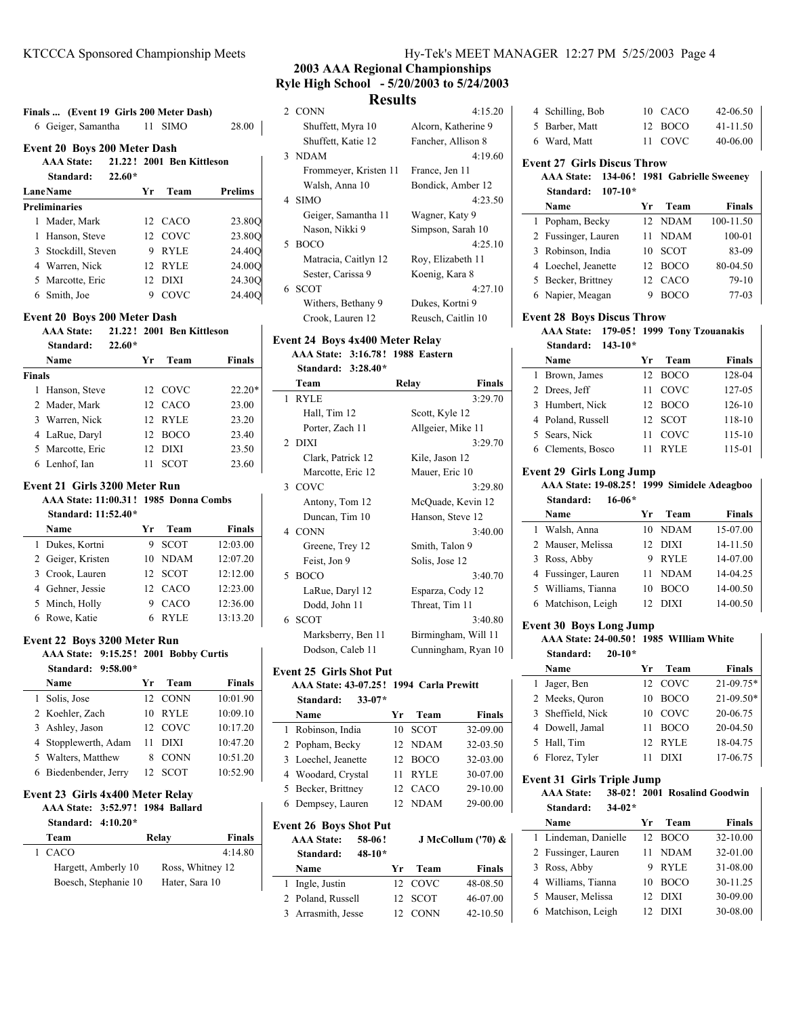| <b>Event 20 Boys 200 Meter Dash</b>                                                   |                                                               |    |             |                |  |
|---------------------------------------------------------------------------------------|---------------------------------------------------------------|----|-------------|----------------|--|
|                                                                                       | AAA State: 21.22! 2001 Ben Kittleson<br>$22.60*$<br>Standard: |    |             |                |  |
|                                                                                       | <b>LaneName</b>                                               | Yr | Team        | <b>Prelims</b> |  |
|                                                                                       | <b>Preliminaries</b>                                          |    |             |                |  |
| 1                                                                                     | Mader, Mark                                                   |    | 12 CACO     | 23.800         |  |
| 1                                                                                     | Hanson, Steve                                                 |    | 12 COVC     | 23.800         |  |
|                                                                                       | 3 Stockdill, Steven                                           | 9  | <b>RYLE</b> | 24.40O         |  |
|                                                                                       | 4 Warren, Nick                                                | 12 | <b>RYLE</b> | 24.00O         |  |
|                                                                                       | 5 Marcotte, Eric                                              |    | 12 DIXI     | 24.30O         |  |
|                                                                                       | 6 Smith, Joe                                                  | 9  | COVC        | 24.400         |  |
| <b>Event 20 Boys 200 Meter Dash</b><br><b>AAA State:</b><br>21.22! 2001 Ben Kittleson |                                                               |    |             |                |  |

|               | Name             | Vr | Team        | <b>Finals</b> |
|---------------|------------------|----|-------------|---------------|
| <b>Finals</b> |                  |    |             |               |
|               | 1 Hanson, Steve  |    | 12 COVC     | $22.20*$      |
|               | 2 Mader, Mark    |    | 12 CACO     | 23.00         |
|               | 3 Warren, Nick   |    | 12. RYLE    | 23.20         |
|               | 4 LaRue, Daryl   |    | 12 BOCO     | 23.40         |
|               | 5 Marcotte, Eric | 12 | DIXI        | 23.50         |
|               | 6 Lenhof, Ian    | 11 | <b>SCOT</b> | 23.60         |

### **Event 21 Girls 3200 Meter Run**

**AAA State: 11:00.31 1985 ! Donna Combs Standard: 11:52.40\***

| Standard: 11:52.40* |    |             |               |
|---------------------|----|-------------|---------------|
| Name                | Уr | Team        | <b>Finals</b> |
| 1 Dukes, Kortni     | 9  | <b>SCOT</b> | 12:03.00      |
| 2 Geiger, Kristen   |    | 10 NDAM     | 12:07.20      |
| 3 Crook, Lauren     |    | 12 SCOT     | 12:12.00      |
| 4 Gehner, Jessie    |    | 12 CACO     | 12:23.00      |
| 5 Minch, Holly      | 9  | CACO        | 12:36.00      |
| 6 Rowe, Katie       | 6  | <b>RYLE</b> | 13:13.20      |

## **Event 22 Boys 3200 Meter Run**

**AAA State: 9:15.25 2001 ! Bobby Curtis Standard: 9:58.00\***

|  | $Stanardi: 9:58.00^{\circ}$ |    |             |               |
|--|-----------------------------|----|-------------|---------------|
|  | Name                        | Уr | Team        | <b>Finals</b> |
|  | 1 Solis, Jose               |    | 12 CONN     | 10:01.90      |
|  | 2 Koehler, Zach             | 10 | <b>RYLE</b> | 10:09.10      |
|  | 3 Ashley, Jason             |    | 12 COVC     | 10:17.20      |
|  | 4 Stopplewerth, Adam        | 11 | DIXI        | 10:47.20      |
|  | 5 Walters, Matthew          | 8  | <b>CONN</b> | 10:51.20      |
|  | 6 Biedenbender, Jerry       |    | 12 SCOT     | 10:52.90      |
|  |                             |    |             |               |

#### **Event 23 Girls 4x400 Meter Relay**

| AAA State: 3:52.97! 1984 Ballard |  |  |
|----------------------------------|--|--|
| Standard: $4:10.20*$             |  |  |

| Team                 | Relay            | Finals  |
|----------------------|------------------|---------|
| 1 CACO               |                  | 4:14.80 |
| Hargett, Amberly 10  | Ross, Whitney 12 |         |
| Boesch, Stephanie 10 | Hater, Sara 10   |         |
|                      |                  |         |

## KTCCCA Sponsored Championship Meets Hy-Tek's MEET MANAGER 12:27 PM 5/25/2003 Page 4

## **2003 AAA Regional Championships Ryle High School - 5/20/2003 to 5/24/2003 Results**

| 2 CONN                | 4:15.20             |
|-----------------------|---------------------|
| Shuffett, Myra 10     | Alcorn, Katherine 9 |
| Shuffett, Katie 12    | Fancher, Allison 8  |
| 3 NDAM                | 4:19.60             |
| Frommeyer, Kristen 11 | France, Jen 11      |
| Walsh, Anna 10        | Bondick, Amber 12   |
| 4 SIMO                | 4:23.50             |
| Geiger, Samantha 11   | Wagner, Katy 9      |
| Nason, Nikki 9        | Simpson, Sarah 10   |
| 5 BOCO                | 4:25.10             |
| Matracia, Caitlyn 12  | Roy, Elizabeth 11   |
| Sester, Carissa 9     | Koenig, Kara 8      |
| 6 SCOT                | 4:27.10             |
| Withers, Bethany 9    | Dukes, Kortni 9     |
| Crook, Lauren 12      | Reusch, Caitlin 10  |
|                       |                     |

## **Event 24 Boys 4x400 Meter Relay AAA State: 3:16.78! 1988 Eastern**

**Standard: 3:28.40\***

| Team               | Relay<br><b>Finals</b> |
|--------------------|------------------------|
| 1 RYLE             | 3:29.70                |
| Hall, Tim 12       | Scott, Kyle 12         |
| Porter, Zach 11    | Allgeier, Mike 11      |
| 2 DIXI             | 3:29.70                |
| Clark, Patrick 12  | Kile, Jason 12         |
| Marcotte, Eric 12  | Mauer, Eric 10         |
| 3 COVC             | 3:29.80                |
| Antony, Tom 12     | McQuade, Kevin 12      |
| Duncan, Tim 10     | Hanson, Steve 12       |
| 4 CONN             | 3:40.00                |
| Greene, Trey 12    | Smith, Talon 9         |
| Feist, Jon 9       | Solis, Jose 12         |
| 5 BOCO             | 3:40.70                |
| LaRue, Daryl 12    | Esparza, Cody 12       |
| Dodd, John 11      | Threat, Tim 11         |
| 6 SCOT             | 3:40.80                |
| Marksberry, Ben 11 | Birmingham, Will 11    |
| Dodson, Caleb 11   | Cunningham, Ryan 10    |

## **Event 25 Girls Shot Put**

**AAA State: 43-07.25 1994 ! Carla Prewitt Standard: 33-07\***

| Name                | Yr | Team        | <b>Finals</b> |
|---------------------|----|-------------|---------------|
| 1 Robinson, India   | 10 | <b>SCOT</b> | 32-09.00      |
| 2 Popham, Becky     |    | 12 NDAM     | 32-03.50      |
| 3 Loechel, Jeanette |    | <b>BOCO</b> | 32-03.00      |
| 4 Woodard, Crystal  | 11 | <b>RYLE</b> | 30-07.00      |
| 5 Becker, Brittney  | 12 | CACO        | 29-10.00      |
| 6 Dempsey, Lauren   |    | <b>NDAM</b> | 29-00.00      |
|                     |    |             |               |

| <b>Event 26 Boys Shot Put</b><br><b>AAA</b> State:<br>58-06!<br>$48 - 10*$<br>Standard: |                    |  |    |             | J McCollum ('70) & |
|-----------------------------------------------------------------------------------------|--------------------|--|----|-------------|--------------------|
|                                                                                         | Name               |  | Yг | Team        | <b>Finals</b>      |
|                                                                                         | 1 Ingle, Justin    |  |    | 12 COVC     | 48-08.50           |
|                                                                                         | 2 Poland, Russell  |  |    | SCOT        | 46-07.00           |
|                                                                                         | 3 Arrasmith, Jesse |  |    | <b>CONN</b> | 42-10.50           |

| 4 Schilling, Bob | 10 CACO | 42-06.50 |
|------------------|---------|----------|
| 5 Barber, Matt   | 12 BOCO | 41-11.50 |
| 6 Ward, Matt     | 11 COVC | 40-06.00 |

## **Event 27 Girls Discus Throw**

|                     |  | AAA State: 134-06! 1981 Gabrielle Sweeney |
|---------------------|--|-------------------------------------------|
| Standard: $107-10*$ |  |                                           |

|  | vuuua u.<br>. -     |    |             |               |
|--|---------------------|----|-------------|---------------|
|  | Name                | Yr | Team        | <b>Finals</b> |
|  | 1 Popham, Becky     |    | 12 NDAM     | 100-11.50     |
|  | 2 Fussinger, Lauren | 11 | <b>NDAM</b> | 100-01        |
|  | 3 Robinson, India   |    | 10 SCOT     | 83-09         |
|  | 4 Loechel, Jeanette |    | 12 BOCO     | 80-04.50      |
|  | 5 Becker, Brittney  |    | 12 CACO     | $79-10$       |
|  | 6 Napier, Meagan    |    | <b>BOCO</b> | $77-03$       |

#### **Event 28 Boys Discus Throw**

**AAA State: 179-05 1999 ! Tony Tzouanakis Standard: 143-10\***

|  | www.a             |    |         |               |
|--|-------------------|----|---------|---------------|
|  | Name              | Уr | Team    | <b>Finals</b> |
|  | 1 Brown, James    |    | 12 BOCO | 128-04        |
|  | 2 Drees, Jeff     |    | 11 COVC | 127-05        |
|  | 3 Humbert, Nick   |    | 12 BOCO | 126-10        |
|  | 4 Poland, Russell |    | 12 SCOT | 118-10        |
|  | 5 Sears, Nick     | 11 | COVC    | 115-10        |
|  | 6 Clements, Bosco | 11 | RYLE    | 115-01        |
|  |                   |    |         |               |

#### **Event 29 Girls Long Jump**

#### **AAA State: 19-08.25 1999 ! Simidele Adeagboo Standard: 16-06\***

| Name                | Уr              | Team        | <b>Finals</b> |
|---------------------|-----------------|-------------|---------------|
| 1 Walsh, Anna       |                 | 10 NDAM     | 15-07.00      |
| 2 Mauser, Melissa   | 12 <sup>2</sup> | DIXI        | 14-11.50      |
| 3 Ross, Abby        | 9               | <b>RYLE</b> | 14-07.00      |
| 4 Fussinger, Lauren | 11              | <b>NDAM</b> | 14-04.25      |
| 5 Williams, Tianna  | 10              | <b>BOCO</b> | 14-00.50      |
| 6 Matchison, Leigh  | $12^{\circ}$    | <b>DIXI</b> | 14-00.50      |

### **Event 30 Boys Long Jump**

| AAA State: 24-00.50! 1985 WIlliam White<br>$20 - 10*$<br>Standard: |                   |     |             |             |
|--------------------------------------------------------------------|-------------------|-----|-------------|-------------|
|                                                                    | Name              | Уr  | Team        | Finals      |
|                                                                    | 1 Jager, Ben      |     | 12 COVC     | $21-09.75*$ |
|                                                                    | 2 Meeks, Ouron    | 10  | <b>BOCO</b> | $21-09.50*$ |
|                                                                    | 3 Sheffield, Nick | 10. | COVC        | 20-06.75    |
|                                                                    | 4 Dowell, Jamal   | 11  | <b>BOCO</b> | 20-04.50    |
|                                                                    | 5 Hall, Tim       | 12  | <b>RYLE</b> | 18-04.75    |

6 17-06.75 Florez, Tyler 11 DIXI

#### **Event 31 Girls Triple Jump**

**AAA State:** 38-02! 2001 Rosalind Goodwin **Standard: 34-02\* Name Yr Team Finals** 1 Lindeman, Danielle 12 BOCO 32-10.00 2 Fussinger, Lauren 11 NDAM 32-01.00 3 Ross, Abby 9 RYLE 31-08.00 4 Williams, Tianna 10 BOCO 30-11.25 5 30-09.00 Mauser, Melissa 12 DIXI 6 30-08.00 Matchison, Leigh 12 DIXI